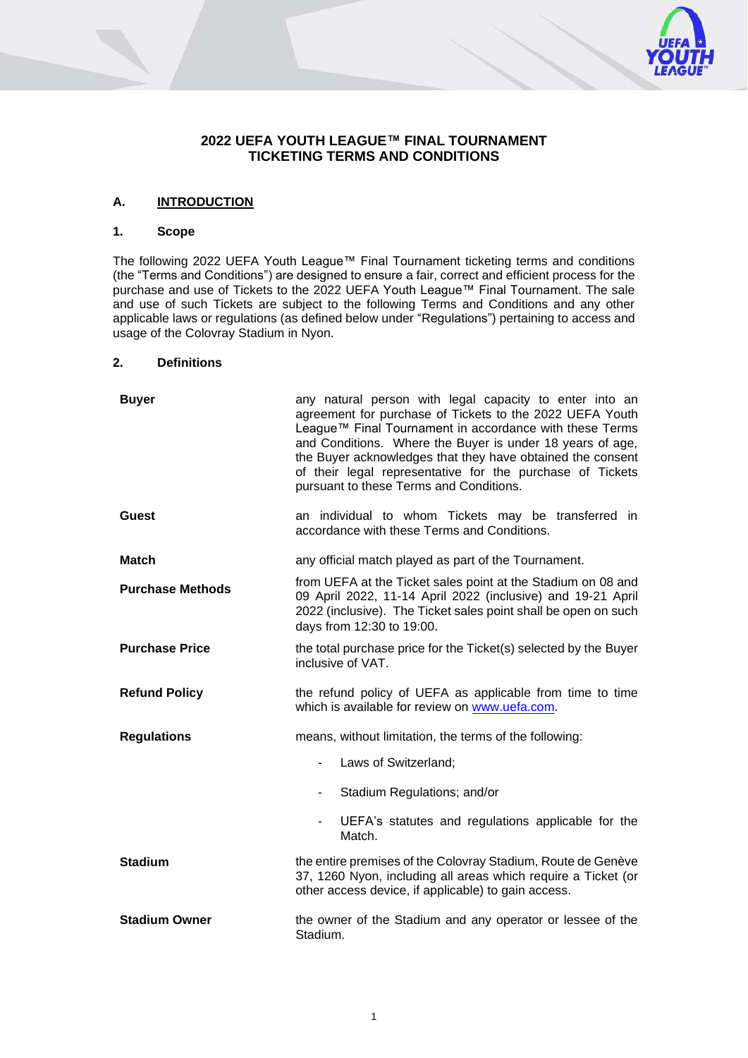# **2022 UEFA YOUTH LEAGUE™ FINAL TOURNAMENT TICKETING TERMS AND CONDITIONS**

# **A. INTRODUCTION**

# **1. Scope**

The following 2022 UEFA Youth League™ Final Tournament ticketing terms and conditions (the "Terms and Conditions") are designed to ensure a fair, correct and efficient process for the purchase and use of Tickets to the 2022 UEFA Youth League™ Final Tournament. The sale and use of such Tickets are subject to the following Terms and Conditions and any other applicable laws or regulations (as defined below under "Regulations") pertaining to access and usage of the Colovray Stadium in Nyon.

#### **2. Definitions**

| <b>Buyer</b>            | any natural person with legal capacity to enter into an<br>agreement for purchase of Tickets to the 2022 UEFA Youth<br>League™ Final Tournament in accordance with these Terms<br>and Conditions. Where the Buyer is under 18 years of age,<br>the Buyer acknowledges that they have obtained the consent<br>of their legal representative for the purchase of Tickets<br>pursuant to these Terms and Conditions. |
|-------------------------|-------------------------------------------------------------------------------------------------------------------------------------------------------------------------------------------------------------------------------------------------------------------------------------------------------------------------------------------------------------------------------------------------------------------|
| Guest                   | an individual to whom Tickets may be transferred in<br>accordance with these Terms and Conditions.                                                                                                                                                                                                                                                                                                                |
| Match                   | any official match played as part of the Tournament.                                                                                                                                                                                                                                                                                                                                                              |
| <b>Purchase Methods</b> | from UEFA at the Ticket sales point at the Stadium on 08 and<br>09 April 2022, 11-14 April 2022 (inclusive) and 19-21 April<br>2022 (inclusive). The Ticket sales point shall be open on such<br>days from 12:30 to 19:00.                                                                                                                                                                                        |
| <b>Purchase Price</b>   | the total purchase price for the Ticket(s) selected by the Buyer<br>inclusive of VAT.                                                                                                                                                                                                                                                                                                                             |
| <b>Refund Policy</b>    | the refund policy of UEFA as applicable from time to time<br>which is available for review on www.uefa.com.                                                                                                                                                                                                                                                                                                       |
| <b>Regulations</b>      | means, without limitation, the terms of the following:                                                                                                                                                                                                                                                                                                                                                            |
|                         | Laws of Switzerland;<br>$\overline{\phantom{0}}$                                                                                                                                                                                                                                                                                                                                                                  |
|                         | Stadium Regulations; and/or<br>٠                                                                                                                                                                                                                                                                                                                                                                                  |
|                         | UEFA's statutes and regulations applicable for the<br>$\blacksquare$<br>Match.                                                                                                                                                                                                                                                                                                                                    |
| <b>Stadium</b>          | the entire premises of the Colovray Stadium, Route de Genève<br>37, 1260 Nyon, including all areas which require a Ticket (or<br>other access device, if applicable) to gain access.                                                                                                                                                                                                                              |
| <b>Stadium Owner</b>    | the owner of the Stadium and any operator or lessee of the<br>Stadium.                                                                                                                                                                                                                                                                                                                                            |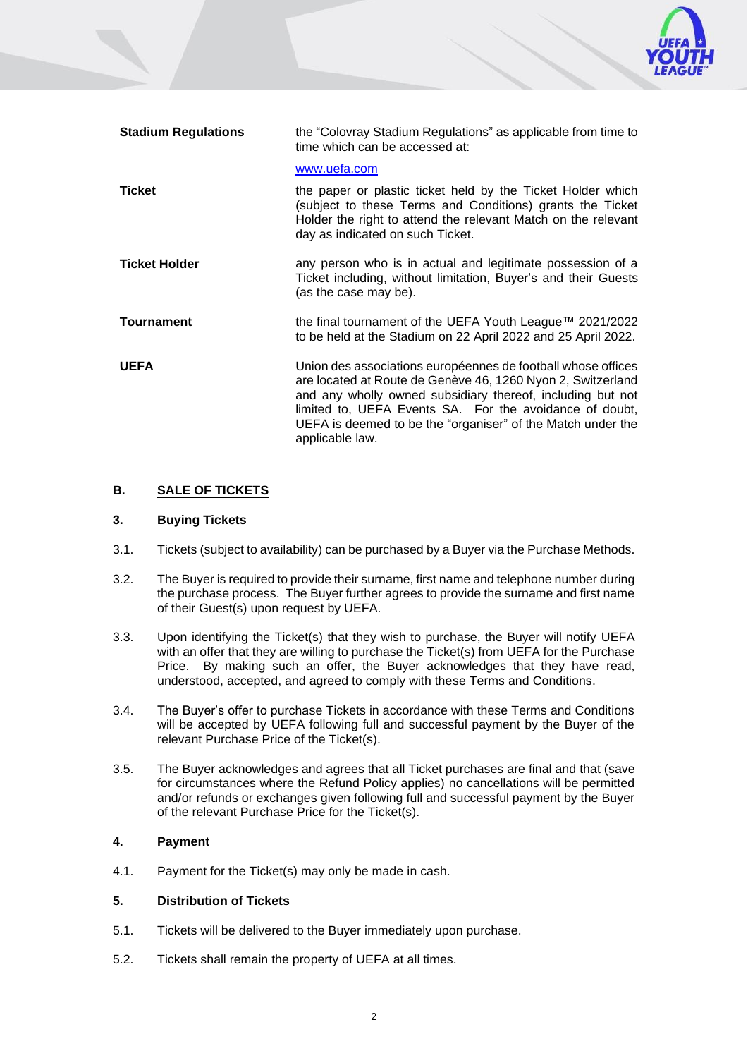**Stadium Regulations** the "Colovray Stadium Regulations" as applicable from time to time which can be accessed at: [www.uefa.com](http://www.uefa.com/) **Ticket** the paper or plastic ticket held by the Ticket Holder which (subject to these Terms and Conditions) grants the Ticket Holder the right to attend the relevant Match on the relevant day as indicated on such Ticket. **Ticket Holder any person who is in actual and legitimate possession of a** Ticket including, without limitation, Buyer's and their Guests (as the case may be). **Tournament** the final tournament of the UEFA Youth League™ 2021/2022 to be held at the Stadium on 22 April 2022 and 25 April 2022. **UEFA** Union des associations européennes de football whose offices are located at Route de Genève 46, 1260 Nyon 2, Switzerland and any wholly owned subsidiary thereof, including but not limited to, UEFA Events SA. For the avoidance of doubt, UEFA is deemed to be the "organiser" of the Match under the applicable law.

# **B. SALE OF TICKETS**

### **3. Buying Tickets**

- 3.1. Tickets (subject to availability) can be purchased by a Buyer via the Purchase Methods.
- <span id="page-1-0"></span>3.2. The Buyer is required to provide their surname, first name and telephone number during the purchase process. The Buyer further agrees to provide the surname and first name of their Guest(s) upon request by UEFA.
- 3.3. Upon identifying the Ticket(s) that they wish to purchase, the Buyer will notify UEFA with an offer that they are willing to purchase the Ticket(s) from UEFA for the Purchase Price. By making such an offer, the Buyer acknowledges that they have read, understood, accepted, and agreed to comply with these Terms and Conditions.
- 3.4. The Buyer's offer to purchase Tickets in accordance with these Terms and Conditions will be accepted by UEFA following full and successful payment by the Buyer of the relevant Purchase Price of the Ticket(s).
- 3.5. The Buyer acknowledges and agrees that all Ticket purchases are final and that (save for circumstances where the Refund Policy applies) no cancellations will be permitted and/or refunds or exchanges given following full and successful payment by the Buyer of the relevant Purchase Price for the Ticket(s).

#### **4. Payment**

4.1. Payment for the Ticket(s) may only be made in cash.

### **5. Distribution of Tickets**

- 5.1. Tickets will be delivered to the Buyer immediately upon purchase.
- 5.2. Tickets shall remain the property of UEFA at all times.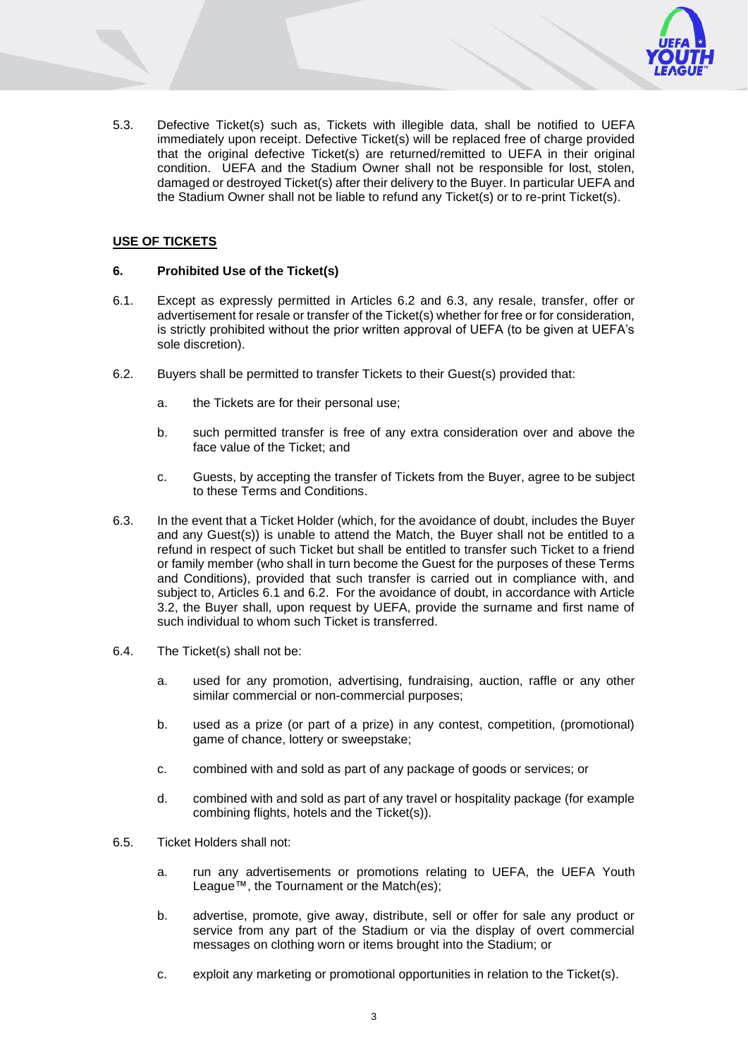- 
- 5.3. Defective Ticket(s) such as, Tickets with illegible data, shall be notified to UEFA immediately upon receipt. Defective Ticket(s) will be replaced free of charge provided that the original defective Ticket(s) are returned/remitted to UEFA in their original condition. UEFA and the Stadium Owner shall not be responsible for lost, stolen, damaged or destroyed Ticket(s) after their delivery to the Buyer. In particular UEFA and the Stadium Owner shall not be liable to refund any Ticket(s) or to re-print Ticket(s).

# **USE OF TICKETS**

# <span id="page-2-2"></span>**6. Prohibited Use of the Ticket(s)**

- 6.1. Except as expressly permitted in Articles [6.2](#page-2-0) and [6.3,](#page-2-1) any resale, transfer, offer or advertisement for resale or transfer of the Ticket(s) whether for free or for consideration, is strictly prohibited without the prior written approval of UEFA (to be given at UEFA's sole discretion).
- <span id="page-2-0"></span>6.2. Buyers shall be permitted to transfer Tickets to their Guest(s) provided that:
	- a. the Tickets are for their personal use;
	- b. such permitted transfer is free of any extra consideration over and above the face value of the Ticket; and
	- c. Guests, by accepting the transfer of Tickets from the Buyer, agree to be subject to these Terms and Conditions.
- <span id="page-2-1"></span>6.3. In the event that a Ticket Holder (which, for the avoidance of doubt, includes the Buyer and any Guest(s)) is unable to attend the Match, the Buyer shall not be entitled to a refund in respect of such Ticket but shall be entitled to transfer such Ticket to a friend or family member (who shall in turn become the Guest for the purposes of these Terms and Conditions), provided that such transfer is carried out in compliance with, and subject to, Articles 6.1 and 6.2. For the avoidance of doubt, in accordance with Article [3.2,](#page-1-0) the Buyer shall, upon request by UEFA, provide the surname and first name of such individual to whom such Ticket is transferred.
- 6.4. The Ticket(s) shall not be:
	- a. used for any promotion, advertising, fundraising, auction, raffle or any other similar commercial or non-commercial purposes;
	- b. used as a prize (or part of a prize) in any contest, competition, (promotional) game of chance, lottery or sweepstake;
	- c. combined with and sold as part of any package of goods or services; or
	- d. combined with and sold as part of any travel or hospitality package (for example combining flights, hotels and the Ticket(s)).
- 6.5. Ticket Holders shall not:
	- a. run any advertisements or promotions relating to UEFA, the UEFA Youth League™, the Tournament or the Match(es);
	- b. advertise, promote, give away, distribute, sell or offer for sale any product or service from any part of the Stadium or via the display of overt commercial messages on clothing worn or items brought into the Stadium; or
	- c. exploit any marketing or promotional opportunities in relation to the Ticket(s).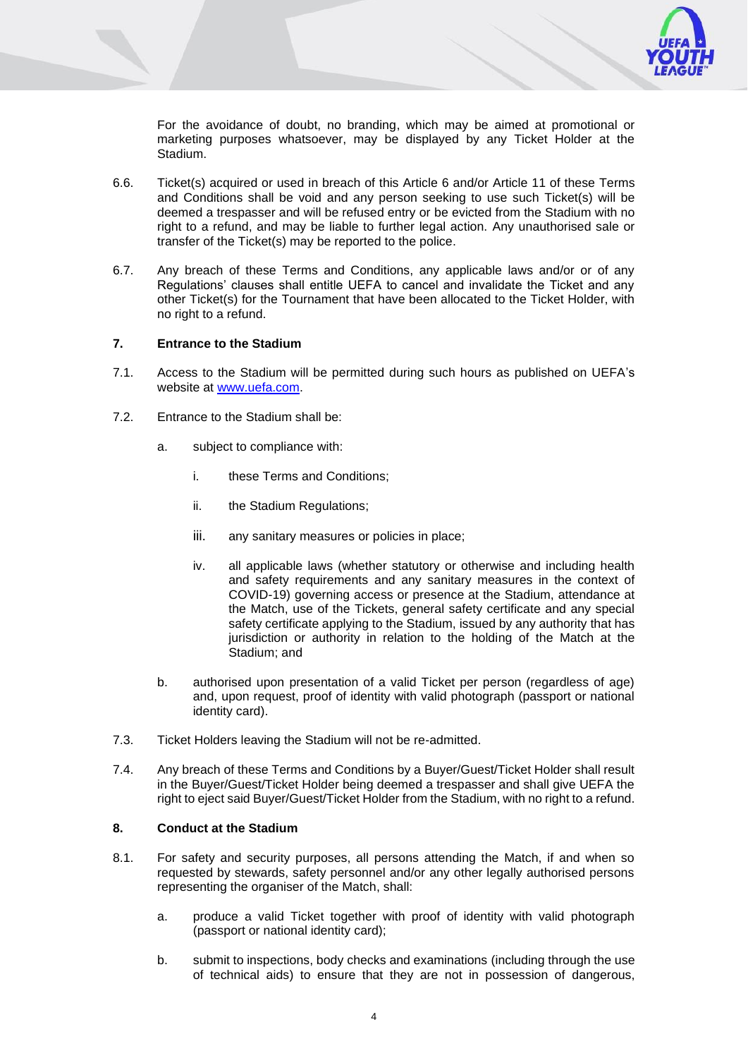

For the avoidance of doubt, no branding, which may be aimed at promotional or marketing purposes whatsoever, may be displayed by any Ticket Holder at the Stadium.

- 6.6. Ticket(s) acquired or used in breach of this Article [6](#page-2-2) and/or Article [11](#page-5-0) of these Terms and Conditions shall be void and any person seeking to use such Ticket(s) will be deemed a trespasser and will be refused entry or be evicted from the Stadium with no right to a refund, and may be liable to further legal action. Any unauthorised sale or transfer of the Ticket(s) may be reported to the police.
- 6.7. Any breach of these Terms and Conditions, any applicable laws and/or or of any Regulations' clauses shall entitle UEFA to cancel and invalidate the Ticket and any other Ticket(s) for the Tournament that have been allocated to the Ticket Holder, with no right to a refund.

### **7. Entrance to the Stadium**

- 7.1. Access to the Stadium will be permitted during such hours as published on UEFA's website at [www.uefa.com.](http://www.uefa.com/)
- 7.2. Entrance to the Stadium shall be:
	- a. subject to compliance with:
		- i. these Terms and Conditions;
		- ii. the Stadium Regulations;
		- iii. any sanitary measures or policies in place;
		- iv. all applicable laws (whether statutory or otherwise and including health and safety requirements and any sanitary measures in the context of COVID-19) governing access or presence at the Stadium, attendance at the Match, use of the Tickets, general safety certificate and any special safety certificate applying to the Stadium, issued by any authority that has jurisdiction or authority in relation to the holding of the Match at the Stadium; and
	- b. authorised upon presentation of a valid Ticket per person (regardless of age) and, upon request, proof of identity with valid photograph (passport or national identity card).
- 7.3. Ticket Holders leaving the Stadium will not be re-admitted.
- 7.4. Any breach of these Terms and Conditions by a Buyer/Guest/Ticket Holder shall result in the Buyer/Guest/Ticket Holder being deemed a trespasser and shall give UEFA the right to eject said Buyer/Guest/Ticket Holder from the Stadium, with no right to a refund.

#### **8. Conduct at the Stadium**

- 8.1. For safety and security purposes, all persons attending the Match, if and when so requested by stewards, safety personnel and/or any other legally authorised persons representing the organiser of the Match, shall:
	- a. produce a valid Ticket together with proof of identity with valid photograph (passport or national identity card);
	- b. submit to inspections, body checks and examinations (including through the use of technical aids) to ensure that they are not in possession of dangerous,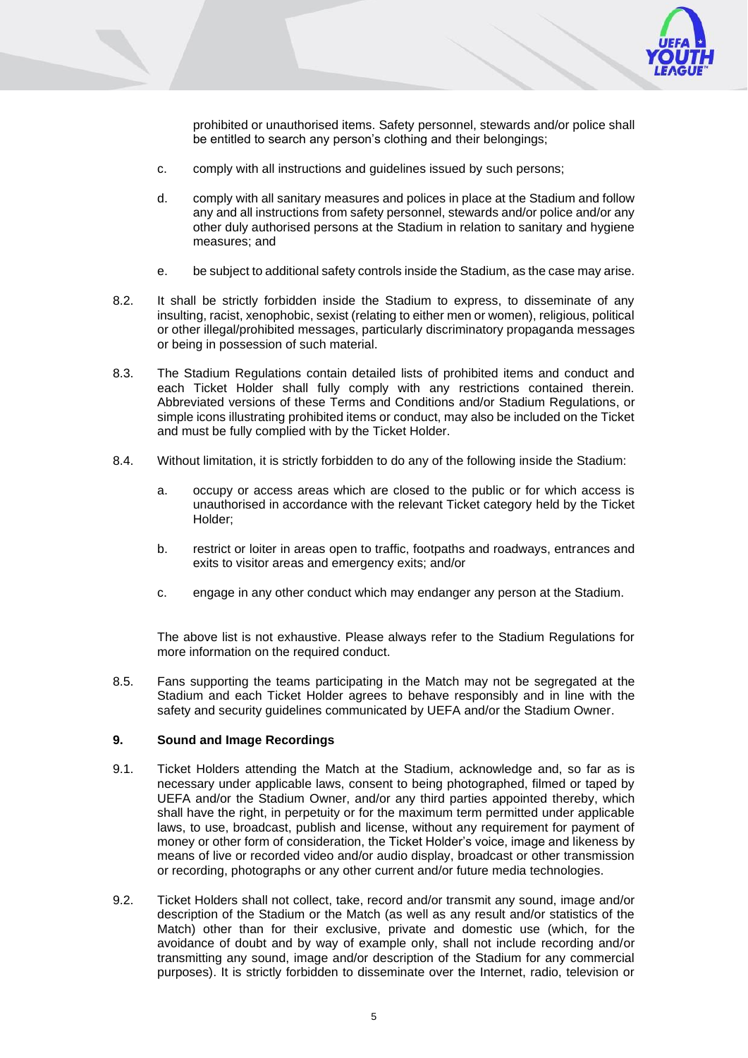

prohibited or unauthorised items. Safety personnel, stewards and/or police shall be entitled to search any person's clothing and their belongings;

- c. comply with all instructions and guidelines issued by such persons;
- d. comply with all sanitary measures and polices in place at the Stadium and follow any and all instructions from safety personnel, stewards and/or police and/or any other duly authorised persons at the Stadium in relation to sanitary and hygiene measures; and
- e. be subject to additional safety controls inside the Stadium, as the case may arise.
- 8.2. It shall be strictly forbidden inside the Stadium to express, to disseminate of any insulting, racist, xenophobic, sexist (relating to either men or women), religious, political or other illegal/prohibited messages, particularly discriminatory propaganda messages or being in possession of such material.
- 8.3. The Stadium Regulations contain detailed lists of prohibited items and conduct and each Ticket Holder shall fully comply with any restrictions contained therein. Abbreviated versions of these Terms and Conditions and/or Stadium Regulations, or simple icons illustrating prohibited items or conduct, may also be included on the Ticket and must be fully complied with by the Ticket Holder.
- 8.4. Without limitation, it is strictly forbidden to do any of the following inside the Stadium:
	- a. occupy or access areas which are closed to the public or for which access is unauthorised in accordance with the relevant Ticket category held by the Ticket Holder;
	- b. restrict or loiter in areas open to traffic, footpaths and roadways, entrances and exits to visitor areas and emergency exits; and/or
	- c. engage in any other conduct which may endanger any person at the Stadium.

The above list is not exhaustive. Please always refer to the Stadium Regulations for more information on the required conduct.

8.5. Fans supporting the teams participating in the Match may not be segregated at the Stadium and each Ticket Holder agrees to behave responsibly and in line with the safety and security guidelines communicated by UEFA and/or the Stadium Owner.

# **9. Sound and Image Recordings**

- 9.1. Ticket Holders attending the Match at the Stadium, acknowledge and, so far as is necessary under applicable laws, consent to being photographed, filmed or taped by UEFA and/or the Stadium Owner, and/or any third parties appointed thereby, which shall have the right, in perpetuity or for the maximum term permitted under applicable laws, to use, broadcast, publish and license, without any requirement for payment of money or other form of consideration, the Ticket Holder's voice, image and likeness by means of live or recorded video and/or audio display, broadcast or other transmission or recording, photographs or any other current and/or future media technologies.
- 9.2. Ticket Holders shall not collect, take, record and/or transmit any sound, image and/or description of the Stadium or the Match (as well as any result and/or statistics of the Match) other than for their exclusive, private and domestic use (which, for the avoidance of doubt and by way of example only, shall not include recording and/or transmitting any sound, image and/or description of the Stadium for any commercial purposes). It is strictly forbidden to disseminate over the Internet, radio, television or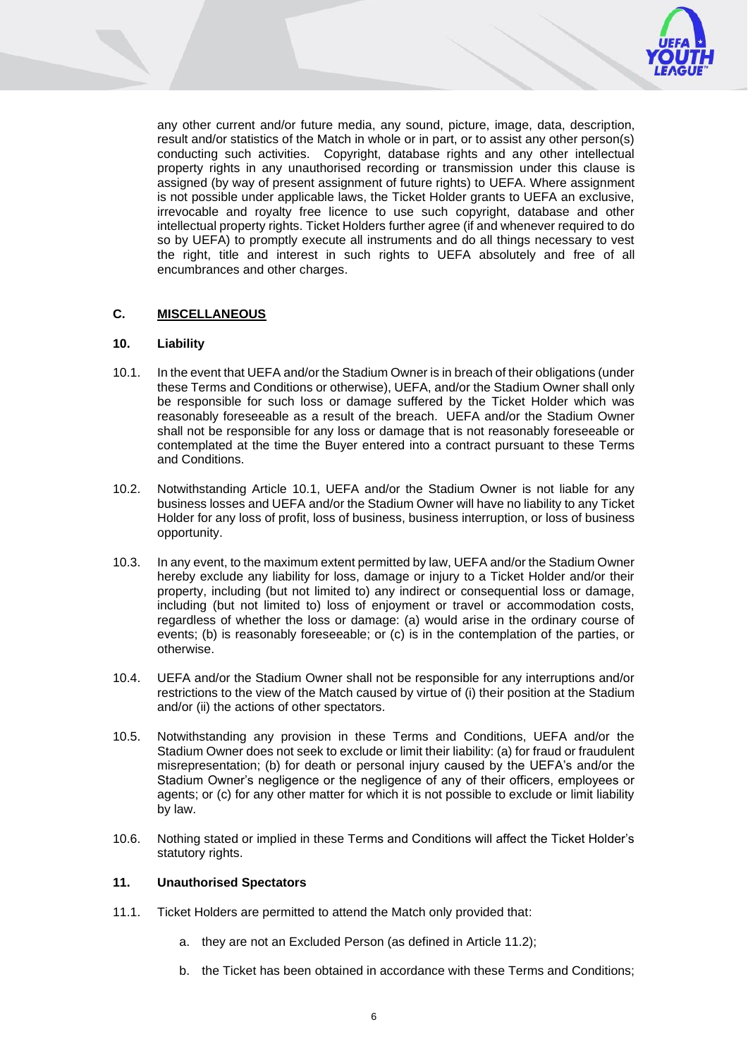

any other current and/or future media, any sound, picture, image, data, description, result and/or statistics of the Match in whole or in part, or to assist any other person(s) conducting such activities. Copyright, database rights and any other intellectual property rights in any unauthorised recording or transmission under this clause is assigned (by way of present assignment of future rights) to UEFA. Where assignment is not possible under applicable laws, the Ticket Holder grants to UEFA an exclusive, irrevocable and royalty free licence to use such copyright, database and other intellectual property rights. Ticket Holders further agree (if and whenever required to do so by UEFA) to promptly execute all instruments and do all things necessary to vest the right, title and interest in such rights to UEFA absolutely and free of all encumbrances and other charges.

# **C. MISCELLANEOUS**

# <span id="page-5-2"></span>**10. Liability**

- <span id="page-5-1"></span>10.1. In the event that UEFA and/or the Stadium Owner is in breach of their obligations (under these Terms and Conditions or otherwise), UEFA, and/or the Stadium Owner shall only be responsible for such loss or damage suffered by the Ticket Holder which was reasonably foreseeable as a result of the breach. UEFA and/or the Stadium Owner shall not be responsible for any loss or damage that is not reasonably foreseeable or contemplated at the time the Buyer entered into a contract pursuant to these Terms and Conditions.
- 10.2. Notwithstanding Article [10.1,](#page-5-1) UEFA and/or the Stadium Owner is not liable for any business losses and UEFA and/or the Stadium Owner will have no liability to any Ticket Holder for any loss of profit, loss of business, business interruption, or loss of business opportunity.
- 10.3. In any event, to the maximum extent permitted by law, UEFA and/or the Stadium Owner hereby exclude any liability for loss, damage or injury to a Ticket Holder and/or their property, including (but not limited to) any indirect or consequential loss or damage, including (but not limited to) loss of enjoyment or travel or accommodation costs, regardless of whether the loss or damage: (a) would arise in the ordinary course of events; (b) is reasonably foreseeable; or (c) is in the contemplation of the parties, or otherwise.
- 10.4. UEFA and/or the Stadium Owner shall not be responsible for any interruptions and/or restrictions to the view of the Match caused by virtue of (i) their position at the Stadium and/or (ii) the actions of other spectators.
- 10.5. Notwithstanding any provision in these Terms and Conditions, UEFA and/or the Stadium Owner does not seek to exclude or limit their liability: (a) for fraud or fraudulent misrepresentation; (b) for death or personal injury caused by the UEFA's and/or the Stadium Owner's negligence or the negligence of any of their officers, employees or agents; or (c) for any other matter for which it is not possible to exclude or limit liability by law.
- 10.6. Nothing stated or implied in these Terms and Conditions will affect the Ticket Holder's statutory rights.

#### <span id="page-5-0"></span>**11. Unauthorised Spectators**

- 11.1. Ticket Holders are permitted to attend the Match only provided that:
	- a. they are not an Excluded Person (as defined in Article 11.2);
	- b. the Ticket has been obtained in accordance with these Terms and Conditions;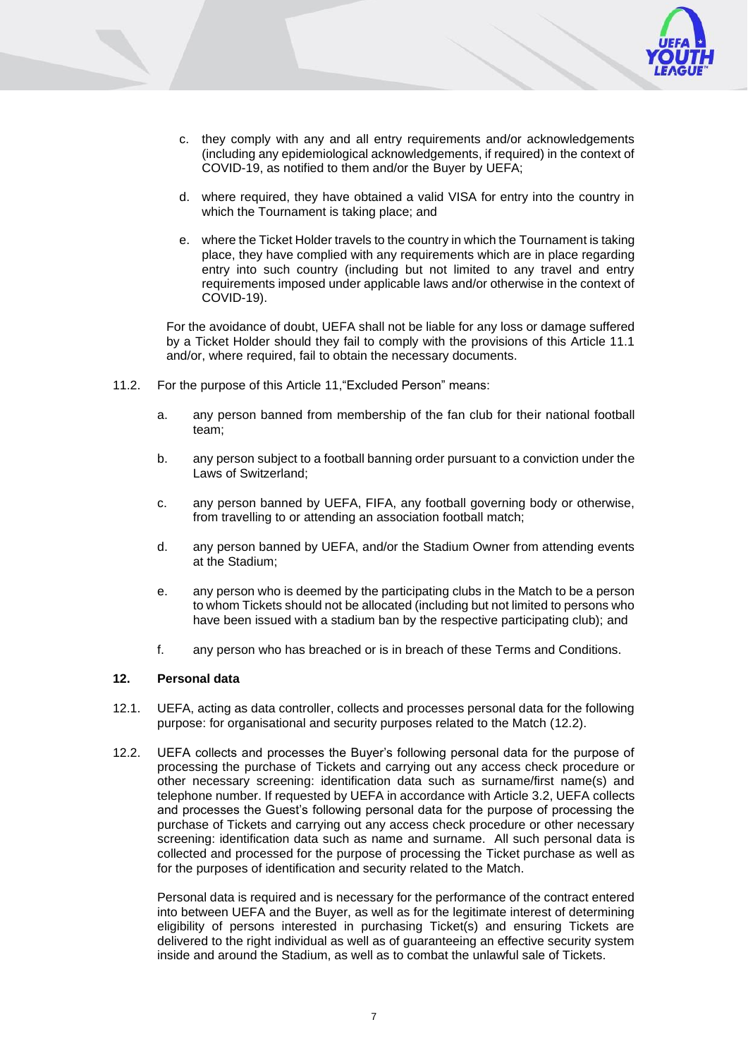

- c. they comply with any and all entry requirements and/or acknowledgements (including any epidemiological acknowledgements, if required) in the context of COVID-19, as notified to them and/or the Buyer by UEFA;
- d. where required, they have obtained a valid VISA for entry into the country in which the Tournament is taking place; and
- e. where the Ticket Holder travels to the country in which the Tournament is taking place, they have complied with any requirements which are in place regarding entry into such country (including but not limited to any travel and entry requirements imposed under applicable laws and/or otherwise in the context of COVID-19).

For the avoidance of doubt, UEFA shall not be liable for any loss or damage suffered by a Ticket Holder should they fail to comply with the provisions of this Article 11.1 and/or, where required, fail to obtain the necessary documents.

- 11.2. For the purpose of this Article [11,](#page-5-0)"Excluded Person" means:
	- a. any person banned from membership of the fan club for their national football team;
	- b. any person subject to a football banning order pursuant to a conviction under the Laws of Switzerland;
	- c. any person banned by UEFA, FIFA, any football governing body or otherwise, from travelling to or attending an association football match;
	- d. any person banned by UEFA, and/or the Stadium Owner from attending events at the Stadium;
	- e. any person who is deemed by the participating clubs in the Match to be a person to whom Tickets should not be allocated (including but not limited to persons who have been issued with a stadium ban by the respective participating club); and
	- f. any person who has breached or is in breach of these Terms and Conditions.

#### <span id="page-6-1"></span>**12. Personal data**

- 12.1. UEFA, acting as data controller, collects and processes personal data for the following purpose: for organisational and security purposes related to the Match [\(12.2\)](#page-6-0).
- <span id="page-6-0"></span>12.2. UEFA collects and processes the Buyer's following personal data for the purpose of processing the purchase of Tickets and carrying out any access check procedure or other necessary screening: identification data such as surname/first name(s) and telephone number. If requested by UEFA in accordance with Article [3.2,](#page-1-0) UEFA collects and processes the Guest's following personal data for the purpose of processing the purchase of Tickets and carrying out any access check procedure or other necessary screening: identification data such as name and surname. All such personal data is collected and processed for the purpose of processing the Ticket purchase as well as for the purposes of identification and security related to the Match.

Personal data is required and is necessary for the performance of the contract entered into between UEFA and the Buyer, as well as for the legitimate interest of determining eligibility of persons interested in purchasing Ticket(s) and ensuring Tickets are delivered to the right individual as well as of guaranteeing an effective security system inside and around the Stadium, as well as to combat the unlawful sale of Tickets.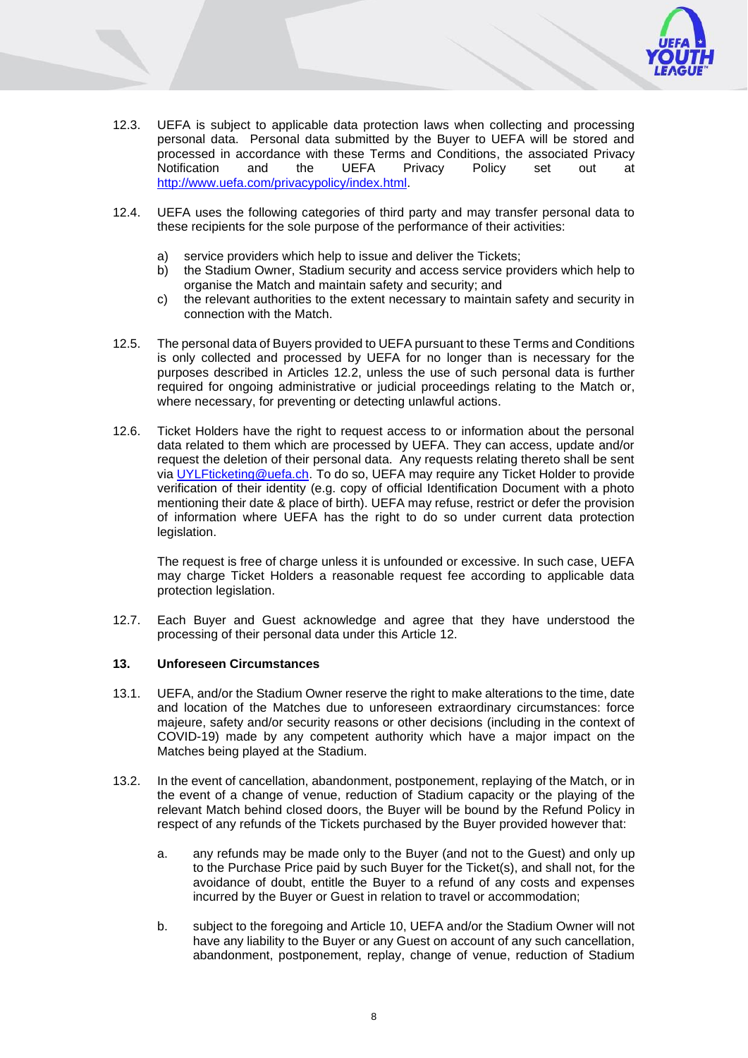

- 12.3. UEFA is subject to applicable data protection laws when collecting and processing personal data. Personal data submitted by the Buyer to UEFA will be stored and processed in accordance with these Terms and Conditions, the associated Privacy Notification and the UEFA Privacy Policy set out at [http://www.uefa.com/privacypolicy/index.html.](http://www.uefa.com/privacypolicy/index.html)
- 12.4. UEFA uses the following categories of third party and may transfer personal data to these recipients for the sole purpose of the performance of their activities:
	- a) service providers which help to issue and deliver the Tickets;
	- b) the Stadium Owner, Stadium security and access service providers which help to organise the Match and maintain safety and security; and
	- c) the relevant authorities to the extent necessary to maintain safety and security in connection with the Match.
- 12.5. The personal data of Buyers provided to UEFA pursuant to these Terms and Conditions is only collected and processed by UEFA for no longer than is necessary for the purposes described in Articles [12.2,](#page-6-0) unless the use of such personal data is further required for ongoing administrative or judicial proceedings relating to the Match or, where necessary, for preventing or detecting unlawful actions.
- 12.6. Ticket Holders have the right to request access to or information about the personal data related to them which are processed by UEFA. They can access, update and/or request the deletion of their personal data. Any requests relating thereto shall be sent via [UYLFticketing@uefa.ch.](mailto:UYLFticketing@uefa.ch) To do so, UEFA may require any Ticket Holder to provide verification of their identity (e.g. copy of official Identification Document with a photo mentioning their date & place of birth). UEFA may refuse, restrict or defer the provision of information where UEFA has the right to do so under current data protection legislation.

The request is free of charge unless it is unfounded or excessive. In such case, UEFA may charge Ticket Holders a reasonable request fee according to applicable data protection legislation.

12.7. Each Buyer and Guest acknowledge and agree that they have understood the processing of their personal data under this Article [12.](#page-6-1)

#### **13. Unforeseen Circumstances**

- 13.1. UEFA, and/or the Stadium Owner reserve the right to make alterations to the time, date and location of the Matches due to unforeseen extraordinary circumstances: force majeure, safety and/or security reasons or other decisions (including in the context of COVID-19) made by any competent authority which have a major impact on the Matches being played at the Stadium.
- 13.2. In the event of cancellation, abandonment, postponement, replaying of the Match, or in the event of a change of venue, reduction of Stadium capacity or the playing of the relevant Match behind closed doors, the Buyer will be bound by the Refund Policy in respect of any refunds of the Tickets purchased by the Buyer provided however that:
	- a. any refunds may be made only to the Buyer (and not to the Guest) and only up to the Purchase Price paid by such Buyer for the Ticket(s), and shall not, for the avoidance of doubt, entitle the Buyer to a refund of any costs and expenses incurred by the Buyer or Guest in relation to travel or accommodation;
	- b. subject to the foregoing and Article [10,](#page-5-2) UEFA and/or the Stadium Owner will not have any liability to the Buyer or any Guest on account of any such cancellation, abandonment, postponement, replay, change of venue, reduction of Stadium